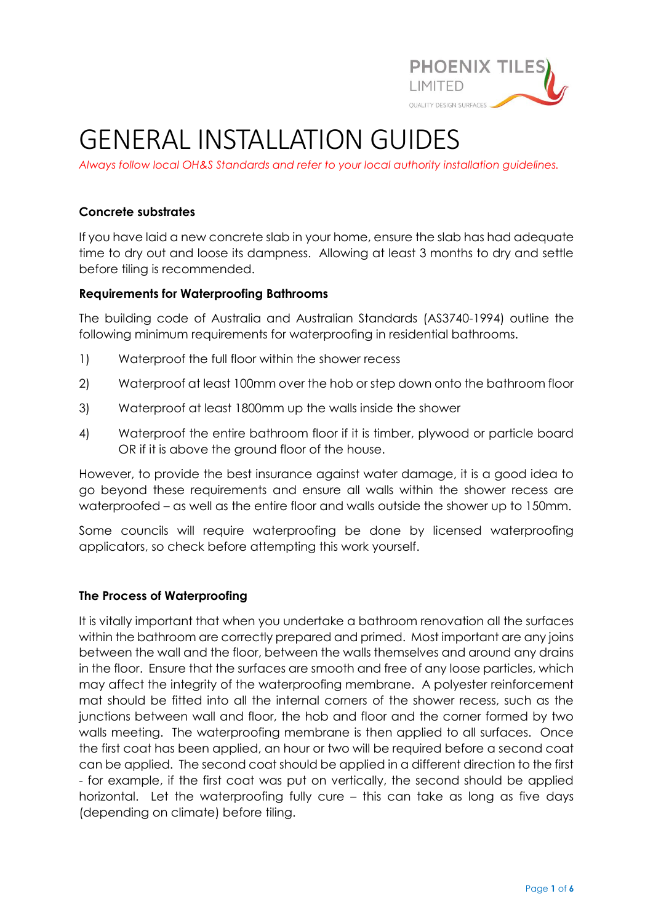

# GENERAL INSTALLATION GUIDES

*Always follow local OH&S Standards and refer to your local authority installation guidelines.*

### **Concrete substrates**

If you have laid a new concrete slab in your home, ensure the slab has had adequate time to dry out and loose its dampness. Allowing at least 3 months to dry and settle before tiling is recommended.

### **Requirements for Waterproofing Bathrooms**

The building code of Australia and Australian Standards (AS3740-1994) outline the following minimum requirements for waterproofing in residential bathrooms.

- 1) Waterproof the full floor within the shower recess
- 2) Waterproof at least 100mm over the hob or step down onto the bathroom floor
- 3) Waterproof at least 1800mm up the walls inside the shower
- 4) Waterproof the entire bathroom floor if it is timber, plywood or particle board OR if it is above the ground floor of the house.

However, to provide the best insurance against water damage, it is a good idea to go beyond these requirements and ensure all walls within the shower recess are waterproofed – as well as the entire floor and walls outside the shower up to 150mm.

Some councils will require waterproofing be done by licensed waterproofing applicators, so check before attempting this work yourself.

### **The Process of Waterproofing**

It is vitally important that when you undertake a bathroom renovation all the surfaces within the bathroom are correctly prepared and primed. Most important are any joins between the wall and the floor, between the walls themselves and around any drains in the floor. Ensure that the surfaces are smooth and free of any loose particles, which may affect the integrity of the waterproofing membrane. A polyester reinforcement mat should be fitted into all the internal corners of the shower recess, such as the junctions between wall and floor, the hob and floor and the corner formed by two walls meeting. The waterproofing membrane is then applied to all surfaces. Once the first coat has been applied, an hour or two will be required before a second coat can be applied. The second coat should be applied in a different direction to the first - for example, if the first coat was put on vertically, the second should be applied horizontal. Let the waterproofing fully cure – this can take as long as five days (depending on climate) before tiling.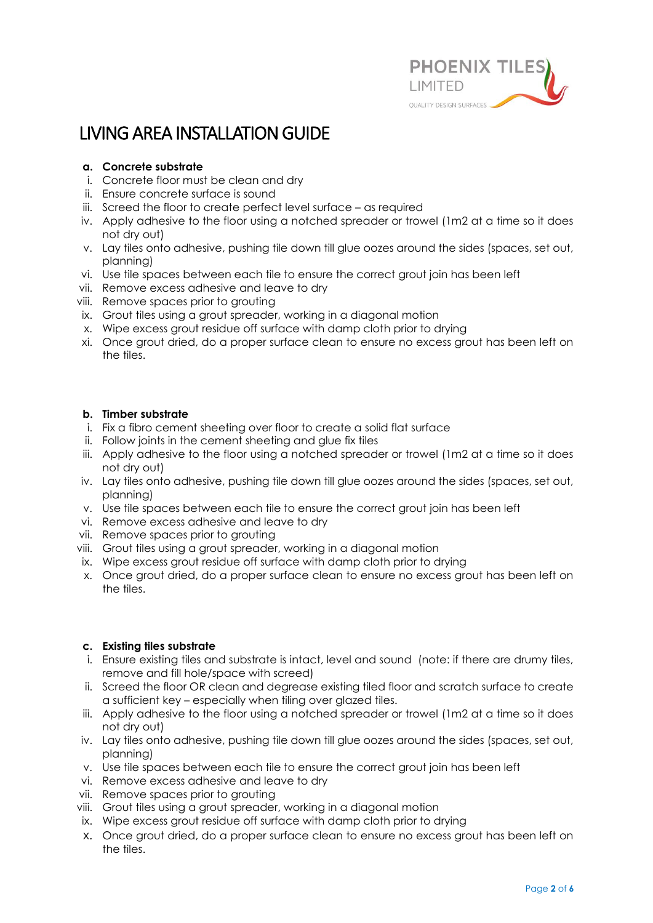

# LIVING AREA INSTALLATION GUIDE

#### **a. Concrete substrate**

- i. Concrete floor must be clean and dry
- ii. Ensure concrete surface is sound
- iii. Screed the floor to create perfect level surface as required
- iv. Apply adhesive to the floor using a notched spreader or trowel (1m2 at a time so it does not dry out)
- v. Lay tiles onto adhesive, pushing tile down till glue oozes around the sides (spaces, set out, planning)
- vi. Use tile spaces between each tile to ensure the correct grout join has been left
- vii. Remove excess adhesive and leave to dry
- viii. Remove spaces prior to grouting
- ix. Grout tiles using a grout spreader, working in a diagonal motion
- x. Wipe excess grout residue off surface with damp cloth prior to drying
- xi. Once grout dried, do a proper surface clean to ensure no excess grout has been left on the tiles.

#### **b. Timber substrate**

- i. Fix a fibro cement sheeting over floor to create a solid flat surface
- ii. Follow joints in the cement sheeting and glue fix tiles
- iii. Apply adhesive to the floor using a notched spreader or trowel (1m2 at a time so it does not dry out)
- iv. Lay tiles onto adhesive, pushing tile down till glue oozes around the sides (spaces, set out, planning)
- v. Use tile spaces between each tile to ensure the correct grout join has been left
- vi. Remove excess adhesive and leave to dry
- vii. Remove spaces prior to grouting
- viii. Grout tiles using a grout spreader, working in a diagonal motion
- ix. Wipe excess grout residue off surface with damp cloth prior to drying
- x. Once grout dried, do a proper surface clean to ensure no excess grout has been left on the tiles.

#### **c. Existing tiles substrate**

- i. Ensure existing tiles and substrate is intact, level and sound (note: if there are drumy tiles, remove and fill hole/space with screed)
- ii. Screed the floor OR clean and degrease existing tiled floor and scratch surface to create a sufficient key – especially when tiling over glazed tiles.
- iii. Apply adhesive to the floor using a notched spreader or trowel (1m2 at a time so it does not dry out)
- iv. Lay tiles onto adhesive, pushing tile down till glue oozes around the sides (spaces, set out, planning)
- v. Use tile spaces between each tile to ensure the correct grout join has been left
- vi. Remove excess adhesive and leave to dry
- vii. Remove spaces prior to grouting
- viii. Grout tiles using a grout spreader, working in a diagonal motion
- ix. Wipe excess grout residue off surface with damp cloth prior to drying
- x. Once grout dried, do a proper surface clean to ensure no excess grout has been left on the tiles.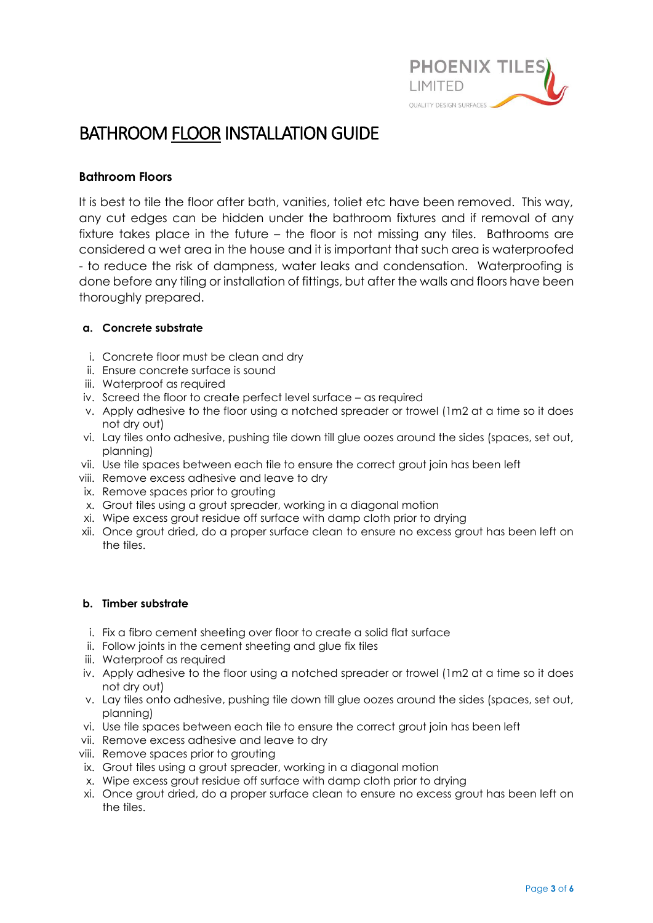

## BATHROOM FLOOR INSTALLATION GUIDE

### **Bathroom Floors**

It is best to tile the floor after bath, vanities, toliet etc have been removed. This way, any cut edges can be hidden under the bathroom fixtures and if removal of any fixture takes place in the future – the floor is not missing any tiles. Bathrooms are considered a wet area in the house and it is important that such area is waterproofed - to reduce the risk of dampness, water leaks and condensation. Waterproofing is done before any tiling or installation of fittings, but after the walls and floors have been thoroughly prepared.

#### **a. Concrete substrate**

- i. Concrete floor must be clean and dry
- ii. Ensure concrete surface is sound
- iii. Waterproof as required
- iv. Screed the floor to create perfect level surface as required
- v. Apply adhesive to the floor using a notched spreader or trowel (1m2 at a time so it does not dry out)
- vi. Lay tiles onto adhesive, pushing tile down till glue oozes around the sides (spaces, set out, planning)
- vii. Use tile spaces between each tile to ensure the correct grout join has been left
- viii. Remove excess adhesive and leave to dry
- ix. Remove spaces prior to grouting
- x. Grout tiles using a grout spreader, working in a diagonal motion
- xi. Wipe excess grout residue off surface with damp cloth prior to drying
- xii. Once grout dried, do a proper surface clean to ensure no excess grout has been left on the tiles.

#### **b. Timber substrate**

- i. Fix a fibro cement sheeting over floor to create a solid flat surface
- ii. Follow joints in the cement sheeting and glue fix tiles
- iii. Waterproof as required
- iv. Apply adhesive to the floor using a notched spreader or trowel (1m2 at a time so it does not dry out)
- v. Lay tiles onto adhesive, pushing tile down till glue oozes around the sides (spaces, set out, planning)
- vi. Use tile spaces between each tile to ensure the correct grout join has been left
- vii. Remove excess adhesive and leave to dry
- viii. Remove spaces prior to grouting
- ix. Grout tiles using a grout spreader, working in a diagonal motion
- x. Wipe excess grout residue off surface with damp cloth prior to drying
- xi. Once grout dried, do a proper surface clean to ensure no excess grout has been left on the tiles.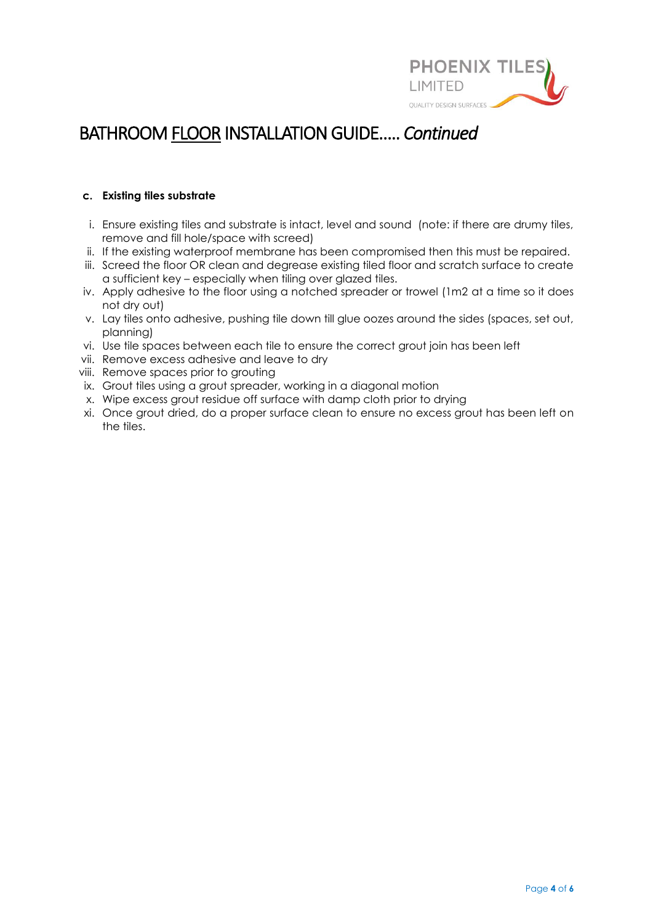

## BATHROOM FLOOR INSTALLATION GUIDE….. *Continued*

#### **c. Existing tiles substrate**

- i. Ensure existing tiles and substrate is intact, level and sound (note: if there are drumy tiles, remove and fill hole/space with screed)
- ii. If the existing waterproof membrane has been compromised then this must be repaired.
- iii. Screed the floor OR clean and degrease existing tiled floor and scratch surface to create a sufficient key – especially when tiling over glazed tiles.
- iv. Apply adhesive to the floor using a notched spreader or trowel (1m2 at a time so it does not dry out)
- v. Lay tiles onto adhesive, pushing tile down till glue oozes around the sides (spaces, set out, planning)
- vi. Use tile spaces between each tile to ensure the correct grout join has been left
- vii. Remove excess adhesive and leave to dry
- viii. Remove spaces prior to grouting
- ix. Grout tiles using a grout spreader, working in a diagonal motion
- x. Wipe excess grout residue off surface with damp cloth prior to drying
- xi. Once grout dried, do a proper surface clean to ensure no excess grout has been left on the tiles.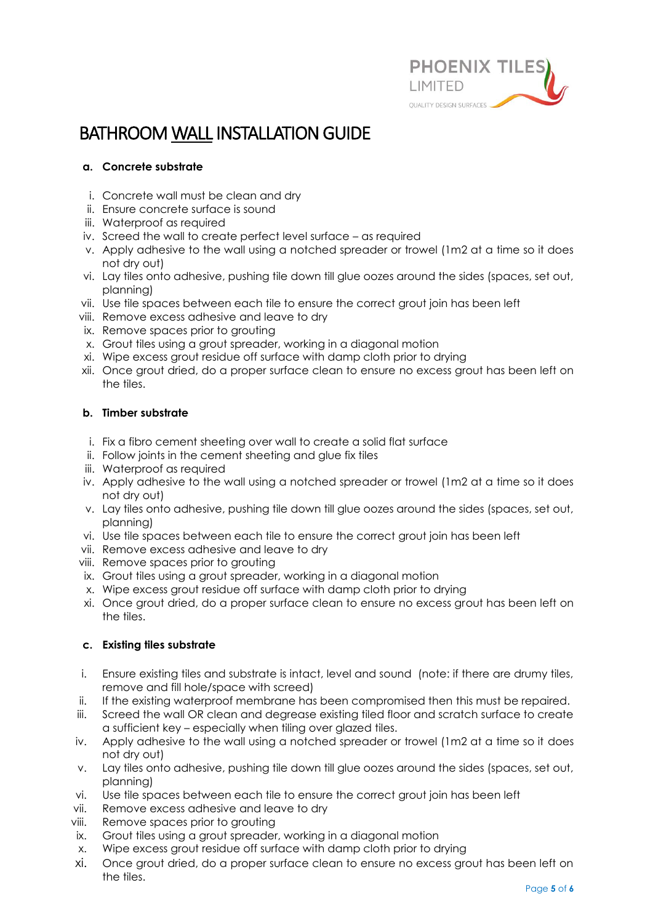

# BATHROOM WALL INSTALLATION GUIDE

#### **a. Concrete substrate**

- i. Concrete wall must be clean and dry
- ii. Ensure concrete surface is sound
- iii. Waterproof as required
- iv. Screed the wall to create perfect level surface as required
- v. Apply adhesive to the wall using a notched spreader or trowel (1m2 at a time so it does not dry out)
- vi. Lay tiles onto adhesive, pushing tile down till glue oozes around the sides (spaces, set out, planning)
- vii. Use tile spaces between each tile to ensure the correct grout join has been left
- viii. Remove excess adhesive and leave to dry
- ix. Remove spaces prior to grouting
- x. Grout tiles using a grout spreader, working in a diagonal motion
- xi. Wipe excess grout residue off surface with damp cloth prior to drying
- xii. Once grout dried, do a proper surface clean to ensure no excess grout has been left on the tiles.

#### **b. Timber substrate**

- i. Fix a fibro cement sheeting over wall to create a solid flat surface
- ii. Follow joints in the cement sheeting and glue fix tiles
- iii. Waterproof as required
- iv. Apply adhesive to the wall using a notched spreader or trowel (1m2 at a time so it does not dry out)
- v. Lay tiles onto adhesive, pushing tile down till glue oozes around the sides (spaces, set out, planning)
- vi. Use tile spaces between each tile to ensure the correct grout join has been left
- vii. Remove excess adhesive and leave to dry
- viii. Remove spaces prior to grouting
- ix. Grout tiles using a grout spreader, working in a diagonal motion
- x. Wipe excess grout residue off surface with damp cloth prior to drying
- xi. Once grout dried, do a proper surface clean to ensure no excess grout has been left on the tiles.

#### **c. Existing tiles substrate**

- i. Ensure existing tiles and substrate is intact, level and sound (note: if there are drumy tiles, remove and fill hole/space with screed)
- ii. If the existing waterproof membrane has been compromised then this must be repaired.
- iii. Screed the wall OR clean and degrease existing tiled floor and scratch surface to create a sufficient key – especially when tiling over glazed tiles.
- iv. Apply adhesive to the wall using a notched spreader or trowel (1m2 at a time so it does not dry out)
- v. Lay tiles onto adhesive, pushing tile down till glue oozes around the sides (spaces, set out, planning)
- vi. Use tile spaces between each tile to ensure the correct grout join has been left
- vii. Remove excess adhesive and leave to dry
- viii. Remove spaces prior to grouting
- ix. Grout tiles using a grout spreader, working in a diagonal motion
- x. Wipe excess grout residue off surface with damp cloth prior to drying
- xi. Once grout dried, do a proper surface clean to ensure no excess grout has been left on the tiles.